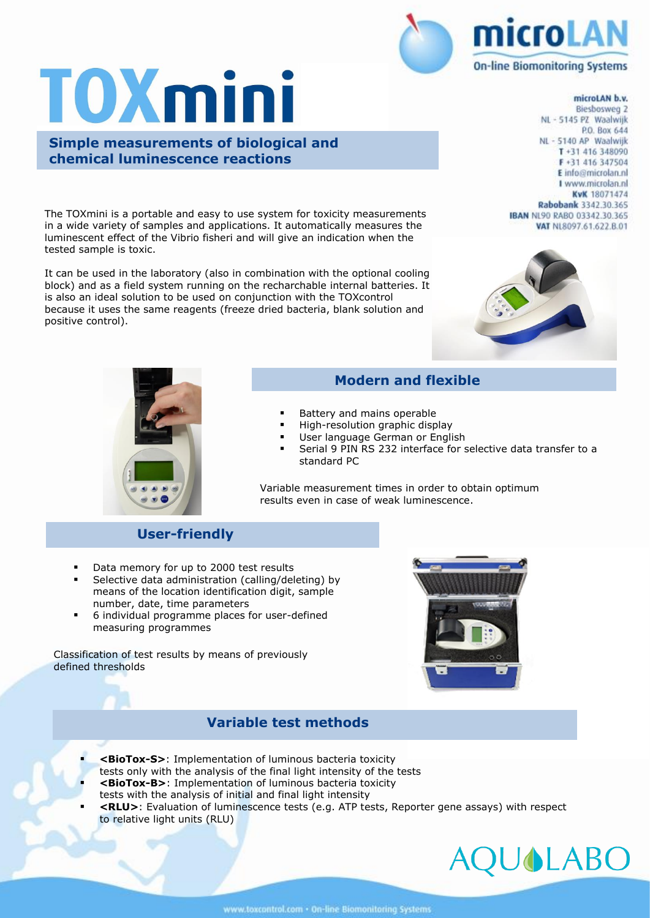# **TOXmini**

**Simple measurements of biological and chemical luminescence reactions** 

The TOXmini is a portable and easy to use system for toxicity measurements in a wide variety of samples and applications. It automatically measures the luminescent effect of the Vibrio fisheri and will give an indication when the tested sample is toxic.

It can be used in the laboratory (also in combination with the optional cooling block) and as a field system running on the recharchable internal batteries. It is also an ideal solution to be used on conjunction with the TOXcontrol because it uses the same reagents (freeze dried bacteria, blank solution and positive control).

## microLAN **On-line Biomonitoring Systems**

#### microLAN b.v.

Biesbosweg 2 NL - 5145 PZ Waalwijk P.O. Box 644 NL - 5140 AP Waalwijk T+31 416 348090 F+31 416 347504 E info@microlan.nl I www.microlan.nl KvK 18071474 Rabobank 3342.30.365 **IBAN NL90 RABO 03342.30.365** VAT NL8097.61.622.B.01





#### **Modern and flexible**

- Battery and mains operable
- High-resolution graphic display
- User language German or English
- Serial 9 PIN RS 232 interface for selective data transfer to a standard PC

Variable measurement times in order to obtain optimum results even in case of weak luminescence.

#### **User-friendly**

- Data memory for up to 2000 test results
- Selective data administration (calling/deleting) by means of the location identification digit, sample number, date, time parameters
- 6 individual programme places for user-defined measuring programmes

Classification of test results by means of previously defined thresholds



### **Variable test methods**

- **<BioTox-S>**: Implementation of luminous bacteria toxicity
- tests only with the analysis of the final light intensity of the tests
- **<BioTox-B>:** Implementation of luminous bacteria toxicity tests with the analysis of initial and final light intensity
- **<RLU>**: Evaluation of luminescence tests (e.g. ATP tests, Reporter gene assays) with respect to relative light units (RLU)